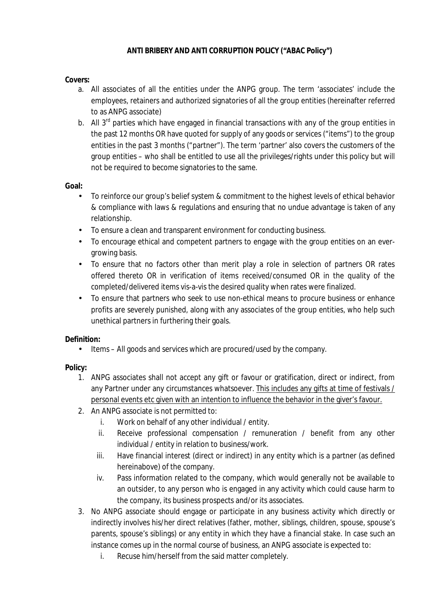## **Covers:**

- a. All associates of all the entities under the ANPG group. The term 'associates' include the employees, retainers and authorized signatories of all the group entities (hereinafter referred to as ANPG associate)
- b. All  $3<sup>rd</sup>$  parties which have engaged in financial transactions with any of the group entities in the past 12 months OR have quoted for supply of any goods or services ("items") to the group entities in the past 3 months ("partner"). The term 'partner' also covers the customers of the group entities – who shall be entitled to use all the privileges/rights under this policy but will not be required to become signatories to the same.

## **Goal:**

- To reinforce our group's belief system & commitment to the highest levels of ethical behavior & compliance with laws & regulations and ensuring that no undue advantage is taken of any relationship.
- To ensure a clean and transparent environment for conducting business.
- To encourage ethical and competent partners to engage with the group entities on an evergrowing basis.
- To ensure that no factors other than merit play a role in selection of partners OR rates offered thereto OR in verification of items received/consumed OR in the quality of the completed/delivered items vis-a-vis the desired quality when rates were finalized.
- To ensure that partners who seek to use non-ethical means to procure business or enhance profits are severely punished, along with any associates of the group entities, who help such unethical partners in furthering their goals.

**Definition:** 

• Items – All goods and services which are procured/used by the company.

**Policy:** 

- 1. ANPG associates shall not accept any gift or favour or gratification, direct or indirect, from any Partner under any circumstances whatsoever. This includes any gifts at time of festivals / personal events etc given with an intention to influence the behavior in the giver's favour.
- 2. An ANPG associate is not permitted to:
	- i. Work on behalf of any other individual / entity.
	- ii. Receive professional compensation / remuneration / benefit from any other individual / entity in relation to business/work.
	- iii. Have financial interest (direct or indirect) in any entity which is a partner (as defined hereinabove) of the company.
	- iv. Pass information related to the company, which would generally not be available to an outsider, to any person who is engaged in any activity which could cause harm to the company, its business prospects and/or its associates.
- 3. No ANPG associate should engage or participate in any business activity which directly or indirectly involves his/her direct relatives (father, mother, siblings, children, spouse, spouse's parents, spouse's siblings) or any entity in which they have a financial stake. In case such an instance comes up in the normal course of business, an ANPG associate is expected to:
	- i. Recuse him/herself from the said matter completely.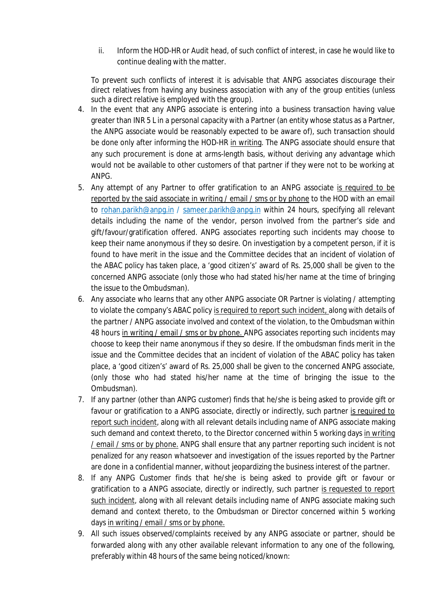ii. Inform the HOD-HR or Audit head, of such conflict of interest, in case he would like to continue dealing with the matter.

To prevent such conflicts of interest it is advisable that ANPG associates discourage their direct relatives from having any business association with any of the group entities (unless such a direct relative is employed with the group).

- 4. In the event that any ANPG associate is entering into a business transaction having value greater than INR 5 L in a personal capacity with a Partner (an entity whose status as a Partner, the ANPG associate would be reasonably expected to be aware of), such transaction should be done only after informing the HOD-HR in writing. The ANPG associate should ensure that any such procurement is done at arms-length basis, without deriving any advantage which would not be available to other customers of that partner if they were not to be working at ANPG.
- 5. Any attempt of any Partner to offer gratification to an ANPG associate is required to be reported by the said associate in writing / email / sms or by phone to the HOD with an email to [rohan.parikh@anpg.in](mailto:rohan.parikh@anpg.in) / [sameer.parikh@anpg.in](mailto:sameer.parikh@anpg.in) within 24 hours, specifying all relevant details including the name of the vendor, person involved from the partner's side and gift/favour/gratification offered. ANPG associates reporting such incidents may choose to keep their name anonymous if they so desire. On investigation by a competent person, if it is found to have merit in the issue and the Committee decides that an incident of violation of the ABAC policy has taken place, a 'good citizen's' award of Rs. 25,000 shall be given to the concerned ANPG associate (only those who had stated his/her name at the time of bringing the issue to the Ombudsman).
- 6. Any associate who learns that any other ANPG associate OR Partner is violating / attempting to violate the company's ABAC policy is required to report such incident, along with details of the partner / ANPG associate involved and context of the violation, to the Ombudsman within 48 hours in writing / email / sms or by phone. ANPG associates reporting such incidents may choose to keep their name anonymous if they so desire. If the ombudsman finds merit in the issue and the Committee decides that an incident of violation of the ABAC policy has taken place, a 'good citizen's' award of Rs. 25,000 shall be given to the concerned ANPG associate, (only those who had stated his/her name at the time of bringing the issue to the Ombudsman).
- 7. If any partner (other than ANPG customer) finds that he/she is being asked to provide gift or favour or gratification to a ANPG associate, directly or indirectly, such partner is required to report such incident, along with all relevant details including name of ANPG associate making such demand and context thereto, to the Director concerned within 5 working days in writing / email / sms or by phone. ANPG shall ensure that any partner reporting such incident is not penalized for any reason whatsoever and investigation of the issues reported by the Partner are done in a confidential manner, without jeopardizing the business interest of the partner.
- 8. If any ANPG Customer finds that he/she is being asked to provide gift or favour or gratification to a ANPG associate, directly or indirectly, such partner is requested to report such incident, along with all relevant details including name of ANPG associate making such demand and context thereto, to the Ombudsman or Director concerned within 5 working days in writing / email / sms or by phone.
- 9. All such issues observed/complaints received by any ANPG associate or partner, should be forwarded along with any other available relevant information to any one of the following, preferably within 48 hours of the same being noticed/known: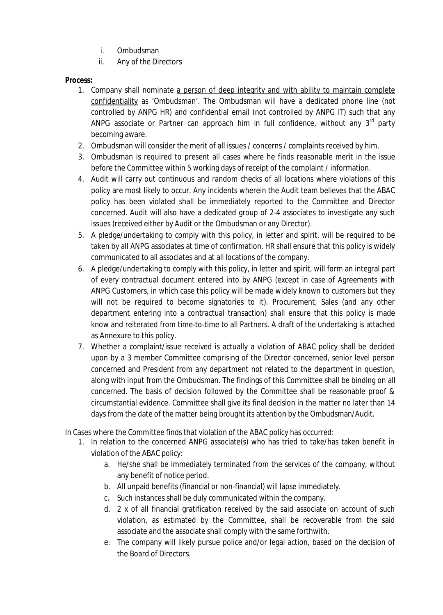- i. Ombudsman
- ii. Any of the Directors

**Process:** 

- 1. Company shall nominate a person of deep integrity and with ability to maintain complete confidentiality as 'Ombudsman'. The Ombudsman will have a dedicated phone line (not controlled by ANPG HR) and confidential email (not controlled by ANPG IT) such that any ANPG associate or Partner can approach him in full confidence, without any  $3<sup>rd</sup>$  party becoming aware.
- 2. Ombudsman will consider the merit of all issues / concerns / complaints received by him.
- 3. Ombudsman is required to present all cases where he finds reasonable merit in the issue before the Committee within 5 working days of receipt of the complaint / information.
- 4. Audit will carry out continuous and random checks of all locations where violations of this policy are most likely to occur. Any incidents wherein the Audit team believes that the ABAC policy has been violated shall be immediately reported to the Committee and Director concerned. Audit will also have a dedicated group of 2-4 associates to investigate any such issues (received either by Audit or the Ombudsman or any Director).
- 5. A pledge/undertaking to comply with this policy, in letter and spirit, will be required to be taken by all ANPG associates at time of confirmation. HR shall ensure that this policy is widely communicated to all associates and at all locations of the company.
- 6. A pledge/undertaking to comply with this policy, in letter and spirit, will form an integral part of every contractual document entered into by ANPG (except in case of Agreements with ANPG Customers, in which case this policy will be made widely known to customers but they will not be required to become signatories to it). Procurement, Sales (and any other department entering into a contractual transaction) shall ensure that this policy is made know and reiterated from time-to-time to all Partners. A draft of the undertaking is attached as Annexure to this policy.
- 7. Whether a complaint/issue received is actually a violation of ABAC policy shall be decided upon by a 3 member Committee comprising of the Director concerned, senior level person concerned and President from any department not related to the department in question, along with input from the Ombudsman. The findings of this Committee shall be binding on all concerned. The basis of decision followed by the Committee shall be reasonable proof & circumstantial evidence. Committee shall give its final decision in the matter no later than 14 days from the date of the matter being brought its attention by the Ombudsman/Audit.

In Cases where the Committee finds that violation of the ABAC policy has occurred:

- 1. In relation to the concerned ANPG associate(s) who has tried to take/has taken benefit in violation of the ABAC policy:
	- a. He/she shall be immediately terminated from the services of the company, without any benefit of notice period.
	- b. All unpaid benefits (financial or non-financial) will lapse immediately.
	- c. Such instances shall be duly communicated within the company.
	- d. 2 x of all financial gratification received by the said associate on account of such violation, as estimated by the Committee, shall be recoverable from the said associate and the associate shall comply with the same forthwith.
	- e. The company will likely pursue police and/or legal action, based on the decision of the Board of Directors.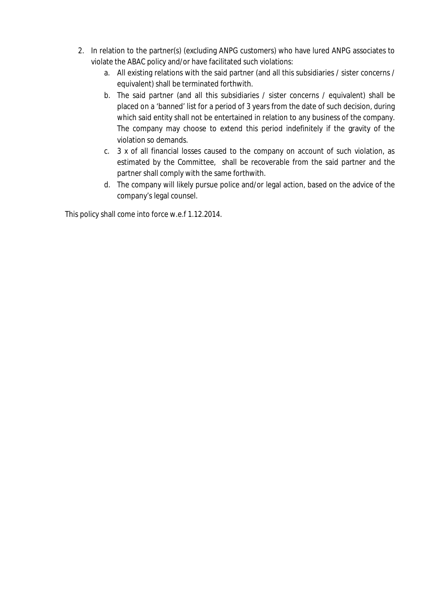- 2. In relation to the partner(s) (excluding ANPG customers) who have lured ANPG associates to violate the ABAC policy and/or have facilitated such violations:
	- a. All existing relations with the said partner (and all this subsidiaries / sister concerns / equivalent) shall be terminated forthwith.
	- b. The said partner (and all this subsidiaries / sister concerns / equivalent) shall be placed on a 'banned' list for a period of 3 years from the date of such decision, during which said entity shall not be entertained in relation to any business of the company. The company may choose to extend this period indefinitely if the gravity of the violation so demands.
	- c. 3 x of all financial losses caused to the company on account of such violation, as estimated by the Committee, shall be recoverable from the said partner and the partner shall comply with the same forthwith.
	- d. The company will likely pursue police and/or legal action, based on the advice of the company's legal counsel.

This policy shall come into force w.e.f 1.12.2014.